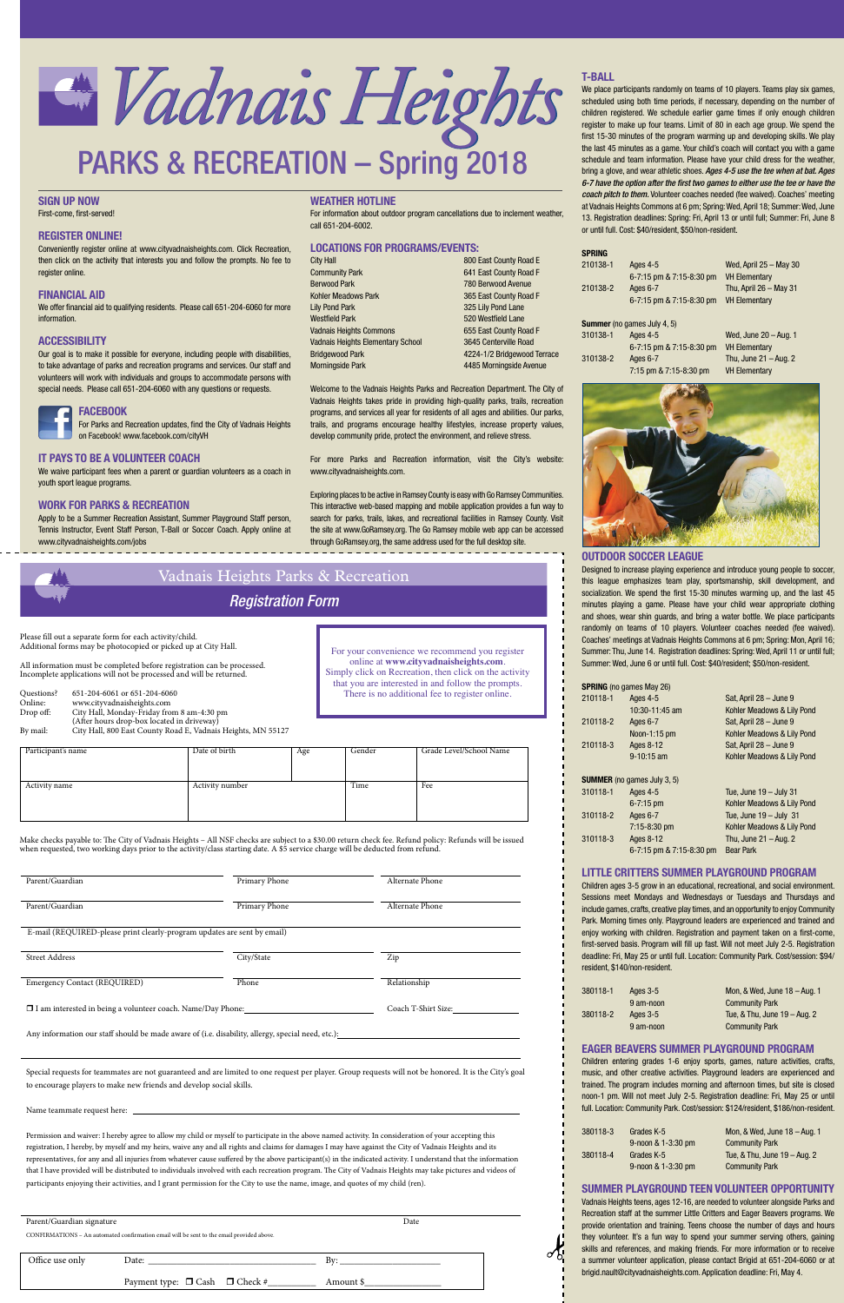# **T-BALL**

We place participants randomly on teams of 10 players. Teams play six games, scheduled using both time periods, if necessary, depending on the number of children registered. We schedule earlier game times if only enough children register to make up four teams. Limit of 80 in each age group. We spend the first 15-30 minutes of the program warming up and developing skills. We play the last 45 minutes as a game. Your child's coach will contact you with a game schedule and team information. Please have your child dress for the weather, bring a glove, and wear athletic shoes. *Ages 4-5 use the tee when at bat. Ages 6-7 have the option after the first two games to either use the tee or have the coach pitch to them.* Volunteer coaches needed (fee waived). Coaches' meeting at Vadnais Heights Commons at 6 pm; Spring: Wed, April 18; Summer: Wed, June 13. Registration deadlines: Spring: Fri, April 13 or until full; Summer: Fri, June 8 or until full. Cost: \$40/resident, \$50/non-resident.

**SPRING**

| SPRING   |                                    |                          |
|----------|------------------------------------|--------------------------|
| 210138-1 | Ages 4-5                           | Wed, April $25 -$ May 30 |
|          | 6-7:15 pm & 7:15-8:30 pm           | <b>VH Elementary</b>     |
| 210138-2 | Ages 6-7                           | Thu, April $26 -$ May 31 |
|          | 6-7:15 pm & 7:15-8:30 pm           | <b>VH Elementary</b>     |
|          |                                    |                          |
|          | <b>Summer</b> (no games July 4, 5) |                          |
| 310138-1 | Ages 4-5                           | Wed, June 20 - Aug. 1    |
|          | 6-7:15 pm & 7:15-8:30 pm           | <b>VH Elementary</b>     |
| 310138-2 | Ages 6-7                           | Thu, June $21 -$ Aug. 2  |
|          | 7:15 pm & 7:15-8:30 pm             | <b>VH Elementary</b>     |



# **OUTDOOR SOCCER LEAGUE**

Designed to increase playing experience and introduce young people to soccer, this league emphasizes team play, sportsmanship, skill development, and socialization. We spend the first 15-30 minutes warming up, and the last 45 minutes playing a game. Please have your child wear appropriate clothing and shoes, wear shin guards, and bring a water bottle. We place participants randomly on teams of 10 players. Volunteer coaches needed (fee waived). Coaches' meetings at Vadnais Heights Commons at 6 pm; Spring: Mon, April 16; Summer: Thu, June 14. Registration deadlines: Spring: Wed, April 11 or until full; Summer: Wed, June 6 or until full. Cost: \$40/resident; \$50/non-resident.

|          | <b>SPRING</b> (no games May 26)    |                            |
|----------|------------------------------------|----------------------------|
| 210118-1 | Ages 4-5                           | Sat, April 28 - June 9     |
|          | 10:30-11:45 am                     | Kohler Meadows & Lily Pond |
| 210118-2 | Ages 6-7                           | Sat, April 28 - June 9     |
|          | Noon-1:15 pm                       | Kohler Meadows & Lily Pond |
| 210118-3 | Ages 8-12                          | Sat, April 28 - June 9     |
|          | $9-10:15$ am                       | Kohler Meadows & Lily Pond |
|          |                                    |                            |
|          | <b>SUMMER</b> (no games July 3, 5) |                            |
| 310118-1 | Ages 4-5                           | Tue, June $19 -$ July 31   |
|          | $6 - 7:15$ pm                      | Kohler Meadows & Lily Pond |
| 310118-2 | Ages 6-7                           | Tue, June $19 -$ July 31   |
|          | $7:15 - 8:30$ pm                   | Kohler Meadows & Lily Pond |
| 310118-3 | Ages 8-12                          | Thu, June $21 -$ Aug. 2    |
|          | 6-7:15 pm & 7:15-8:30 pm           | <b>Bear Park</b>           |
|          |                                    |                            |

# **LITTLE CRITTERS SUMMER PLAYGROUND PROGRAM**

We waive participant fees when a parent or guardian volunteers as a coach in youth sport league pr

# **WORK FOR PARK**

Apply to be a Summ Tennis Instructor, Event Staff Person, T-Ball or Soccer Coach. Apply online at www.cityvadnaisheights.com/jobs

|      | FUI             |
|------|-----------------|
|      | on <sub>1</sub> |
| RAVO | НО              |

| oqrams.                                                  |                     |
|----------------------------------------------------------|---------------------|
|                                                          | <b>Exploring pl</b> |
| <b>RKS &amp; RECREATION</b>                              | This interad        |
| er Recreation Assistant, Summer Playground Staff person, | search for          |

Children ages 3-5 grow in an educational, recreational, and social environment. Sessions meet Mondays and Wednesdays or Tuesdays and Thursdays and include games, crafts, creative play times, and an opportunity to enjoy Community Park. Morning times only. Playground leaders are experienced and trained and enjoy working with children. Registration and payment taken on a first-come, first-served basis. Program will fill up fast. Will not meet July 2-5. Registration deadline: Fri, May 25 or until full. Location: Community Park. Cost/session: \$94/ resident, \$140/non-resident.

| 380118-1 | Ages 3-5  | Mon, & Wed, June 18 - Aug. 1 |
|----------|-----------|------------------------------|
|          | 9 am-noon | <b>Community Park</b>        |
| 380118-2 | Ages 3-5  | Tue, & Thu, June 19 – Aug. 2 |
|          | 9 am-noon | <b>Community Park</b>        |

# **EAGER BEAVERS SUMMER PLAYGROUND PROGRAM**

laces to be active in Ramsey County is easy with Go Ramsey Communities. tive web-based mapping and mobile application provides a fun way to parks, trails, lakes, and recreational facilities in Ramsey County. Visit the site at www.GoRamsey.org. The Go Ramsey mobile web app can be accessed through GoRamsey.org, the same address used for the full desktop site.

> Children entering grades 1-6 enjoy sports, games, nature activities, crafts, music, and other creative activities. Playground leaders are experienced and trained. The program includes morning and afternoon times, but site is closed noon-1 pm. Will not meet July 2-5. Registration deadline: Fri, May 25 or until full. Location: Community Park. Cost/session: \$124/resident, \$186/non-resident.

| 380118-3 | Grades K-5         | Mon, & Wed, June $18 -$ Aug. 1   |
|----------|--------------------|----------------------------------|
|          | 9-noon & 1-3:30 pm | <b>Community Park</b>            |
| 380118-4 | Grades K-5         | Tue, $&$ Thu, June $19 -$ Aug. 2 |
|          | 9-noon & 1-3:30 pm | <b>Community Park</b>            |

| Parent/Guardian                                                          | Primary Phone | Alternate Phone |
|--------------------------------------------------------------------------|---------------|-----------------|
| Parent/Guardian                                                          | Primary Phone | Alternate Phone |
| E-mail (REQUIRED-please print clearly-program updates are sent by email) |               |                 |

# **SUMMER PLAYGROUND TEEN VOLUNTEER OPPORTUNITY**

Vadnais Heights teens, ages 12-16, are needed to volunteer alongside Parks and Recreation staff at the summer Little Critters and Eager Beavers programs. We provide orientation and training. Teens choose the number of days and hours they volunteer. It's a fun way to spend your summer serving others, gaining skills and references, and making friends. For more information or to receive a summer volunteer application, please contact Brigid at 651-204-6060 or at brigid.nault@cityvadnaisheights.com. Application deadline: Fri, May 4.

# **SIGN UP NOW** First-come, first-served!

# **REGISTER ONLINE!**

Conveniently register online at www.cityvadnaisheights.com. Click Recreation, then click on the activity that interests you and follow the prompts. No fee to register online.

# **FINANCIAL AID**

We offer financial aid to qualifying residents. Please call 651-204-6060 for more information.

## **ACCESSIBILITY**

- 
- Online: www.cityvadnaisheights.com<br>
Drop off: City Hall, Monday-Friday fro City Hall, Monday-Friday from 8 am-4:30 pm (After hours drop-box located in driveway)

Parent/Guardian signature Date Date of the Date of the Date of the Date of the Date of the Date of the Date of the Date of the Date of the Date of the Date of the Date of the Date of the Date of the Date of the Date of the CONFIRMATIONS – An automated confirmation email will be sent to the email provided above. Office use only Date: \_\_\_\_\_\_\_\_\_\_\_\_\_\_\_\_\_\_\_\_\_\_\_\_\_\_\_\_\_\_\_\_\_\_\_ By: \_\_\_\_\_\_\_\_\_\_\_\_\_\_\_\_\_\_\_\_\_ Payment type: Cash Check #\_\_\_\_\_\_\_\_\_\_ Amount \$\_\_\_\_\_\_\_\_\_\_\_\_\_\_\_\_

Our goal is to make it possible for everyone, including people with disabilities, to take advantage of parks and recreation programs and services. Our staff and volunteers will work with individuals and groups to accommodate persons with special needs. Please call 651-204-6060 with any questions or requests.

# **FACEBOOK**

Parks and Recreation updates, find the City of Vadnais Heights Facebook! www.facebook.com/cityVH

# **IT PAYS TO BE A VOLUNTEER COACH**

# **WEATHER HOTLINE**

For information about outdoor program cancellations due to inclement weather, call 651-204-6002.

# **LOCATIONS FOR PROGRAMS/EVENTS:**

| City Hall                                | 800 East County Road E      |
|------------------------------------------|-----------------------------|
| <b>Community Park</b>                    | 641 East County Road F      |
| <b>Berwood Park</b>                      | 780 Berwood Avenue          |
| <b>Kohler Meadows Park</b>               | 365 East County Road F      |
| <b>Lily Pond Park</b>                    | 325 Lily Pond Lane          |
| Westfield Park                           | 520 Westfield Lane          |
| Vadnais Heights Commons                  | 655 East County Road F      |
| <b>Vadnais Heights Elementary School</b> | 3645 Centerville Road       |
| <b>Bridgewood Park</b>                   | 4224-1/2 Bridgewood Terrace |
| <b>Morningside Park</b>                  | 4485 Morningside Avenue     |

Welcome to the Vadnais Heights Parks and Recreation Department. The City of Vadnais Heights takes pride in providing high-quality parks, trails, recreation programs, and services all year for residents of all ages and abilities. Our parks, trails, and programs encourage healthy lifestyles, increase property values, develop community pride, protect the environment, and relieve stress.

For more Parks and Recreation information, visit the City's website: www.cityvadnaisheights.com.



| <b>Albert</b> | Vadnais Heights Parks & Recreation |
|---------------|------------------------------------|
|               | <b>Registration Form</b>           |
|               |                                    |

For your convenience we recommend you register online at **www.cityvadnaisheights.com**. Simply click on Recreation, then click on the activity that you are interested in and follow the prompts. There is no additional fee to register online.

Make checks payable to: The City of Vadnais Heights – All NSF checks are subject to a \$30.00 return check fee. Refund policy: Refunds will be issued when requested, two working days prior to the activity/class starting date. A \$5 service charge will be deducted from refund.

| Street Address                                                     | City/State | Zip                 |
|--------------------------------------------------------------------|------------|---------------------|
| <b>Emergency Contact (REQUIRED)</b>                                | Phone      | Relationship        |
| $\Box$ I am interested in being a volunteer coach. Name/Day Phone: |            | Coach T-Shirt Size: |

Any information our staff should be made aware of (i.e. disability, allergy, special need, etc.):

 Special requests for teammates are not guaranteed and are limited to one request per player. Group requests will not be honored. It is the City's goal to encourage players to make new friends and develop social skills.

Name teammate request here:

 Permission and waiver: I hereby agree to allow my child or myself to participate in the above named activity. In consideration of your accepting this registration, I hereby, by myself and my heirs, waive any and all rights and claims for damages I may have against the City of Vadnais Heights and its representatives, for any and all injuries from whatever cause suffered by the above participant(s) in the indicated activity. I understand that the information that I have provided will be distributed to individuals involved with each recreation program. The City of Vadnais Heights may take pictures and videos of participants enjoying their activities, and I grant permission for the City to use the name, image, and quotes of my child (ren).

| Participant's name | Date of birth   | Age | Gender | Grade Level/School Name |
|--------------------|-----------------|-----|--------|-------------------------|
|                    |                 |     |        |                         |
|                    |                 |     |        |                         |
| Activity name      | Activity number |     | Time   | Fee                     |
|                    |                 |     |        |                         |
|                    |                 |     |        |                         |
|                    |                 |     |        |                         |

Please fill out a separate form for each activity/child. Additional forms may be photocopied or picked up at City Hall.

All information must be completed before registration can be processed. Incomplete applications will not be processed and will be returned.

Questions? 651-204-6061 or 651-204-6060

By mail: City Hall, 800 East County Road E, Vadnais Heights, MN 55127